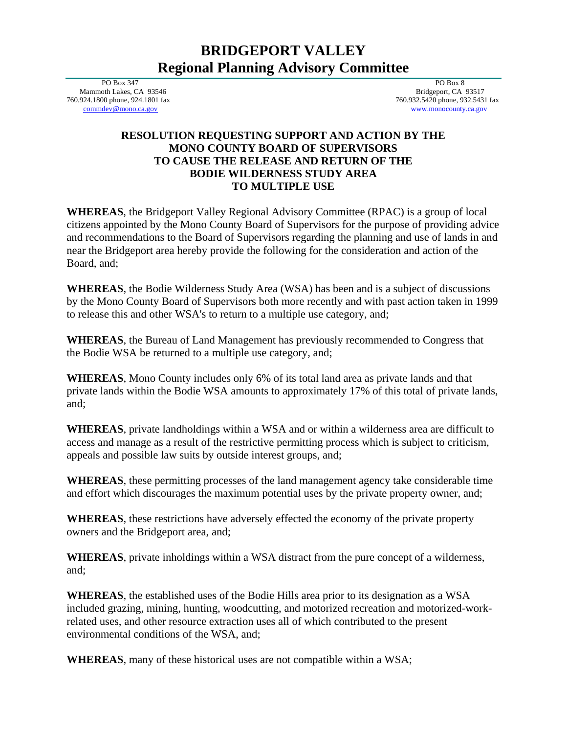## **BRIDGEPORT VALLEY Regional Planning Advisory Committee**

 PO Box 347 Mammoth Lakes, CA 93546 760.924.1800 phone, 924.1801 fax [commdev@mono.ca.gov](mailto:commdev@mono.ca.gov)

 PO Box 8 Bridgeport, CA 93517 760.932.5420 phone, 932.5431 fax www.monocounty.ca.gov

## **RESOLUTION REQUESTING SUPPORT AND ACTION BY THE MONO COUNTY BOARD OF SUPERVISORS TO CAUSE THE RELEASE AND RETURN OF THE BODIE WILDERNESS STUDY AREA TO MULTIPLE USE**

**WHEREAS**, the Bridgeport Valley Regional Advisory Committee (RPAC) is a group of local citizens appointed by the Mono County Board of Supervisors for the purpose of providing advice and recommendations to the Board of Supervisors regarding the planning and use of lands in and near the Bridgeport area hereby provide the following for the consideration and action of the Board, and;

**WHEREAS**, the Bodie Wilderness Study Area (WSA) has been and is a subject of discussions by the Mono County Board of Supervisors both more recently and with past action taken in 1999 to release this and other WSA's to return to a multiple use category, and;

**WHEREAS**, the Bureau of Land Management has previously recommended to Congress that the Bodie WSA be returned to a multiple use category, and;

**WHEREAS**, Mono County includes only 6% of its total land area as private lands and that private lands within the Bodie WSA amounts to approximately 17% of this total of private lands, and;

**WHEREAS**, private landholdings within a WSA and or within a wilderness area are difficult to access and manage as a result of the restrictive permitting process which is subject to criticism, appeals and possible law suits by outside interest groups, and;

**WHEREAS**, these permitting processes of the land management agency take considerable time and effort which discourages the maximum potential uses by the private property owner, and;

**WHEREAS**, these restrictions have adversely effected the economy of the private property owners and the Bridgeport area, and;

**WHEREAS**, private inholdings within a WSA distract from the pure concept of a wilderness, and;

**WHEREAS**, the established uses of the Bodie Hills area prior to its designation as a WSA included grazing, mining, hunting, woodcutting, and motorized recreation and motorized-workrelated uses, and other resource extraction uses all of which contributed to the present environmental conditions of the WSA, and;

**WHEREAS**, many of these historical uses are not compatible within a WSA;